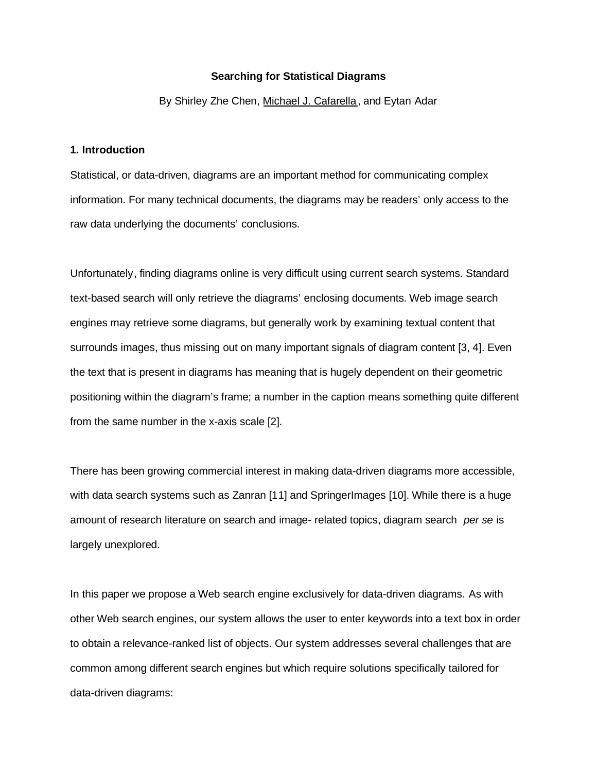#### **Searching for Statistical Diagrams**

By Shirley Zhe Chen, Michael J. Cafarella, and Eytan Adar

# **1. Introduction**

Statistical, or data-driven, diagrams are an important method for communicating complex information. For many technical documents, the diagrams may be readers' only access to the raw data underlying the documents' conclusions.

Unfortunately, finding diagrams online is very difficult using current search systems. Standard text-based search will only retrieve the diagrams' enclosing documents. Web image search engines may retrieve some diagrams, but generally work by examining textual content that surrounds images, thus missing out on many important signals of diagram content [3, 4]. Even the text that is present in diagrams has meaning that is hugely dependent on their geometric positioning within the diagram's frame; a number in the caption means something quite different from the same number in the x-axis scale [2].

There has been growing commercial interest in making data-driven diagrams more accessible, with data search systems such as Zanran [11] and SpringerImages [10]. While there is a huge amount of research literature on search and image- related topics, diagram search *per se* is largely unexplored.

In this paper we propose a Web search engine exclusively for data-driven diagrams. As with other Web search engines, our system allows the user to enter keywords into a text box in order to obtain a relevance-ranked list of objects. Our system addresses several challenges that are common among different search engines but which require solutions specifically tailored for data-driven diagrams: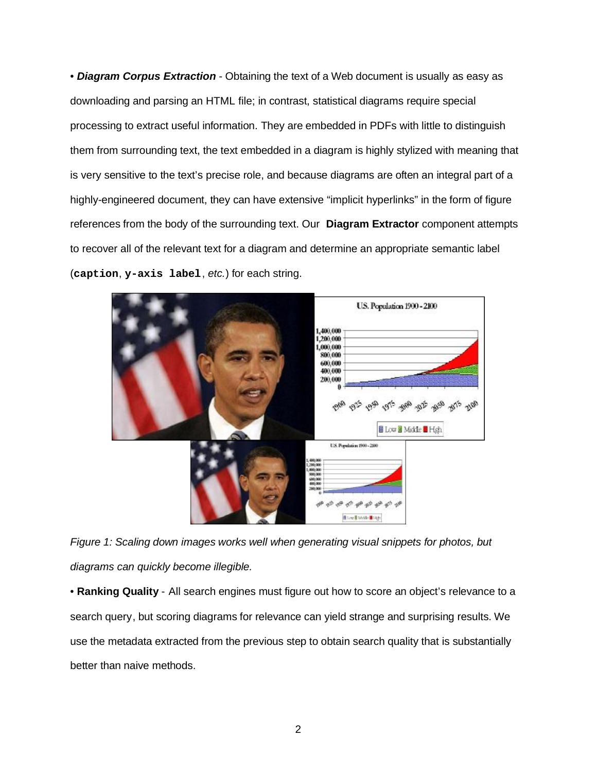• *Diagram Corpus Extraction* - Obtaining the text of a Web document is usually as easy as downloading and parsing an HTML file; in contrast, statistical diagrams require special processing to extract useful information. They are embedded in PDFs with little to distinguish them from surrounding text, the text embedded in a diagram is highly stylized with meaning that is very sensitive to the text's precise role, and because diagrams are often an integral part of a highly-engineered document, they can have extensive "implicit hyperlinks" in the form of figure references from the body of the surrounding text. Our **Diagram Extractor** component attempts to recover all of the relevant text for a diagram and determine an appropriate semantic label (**caption**, **y-axis label**, *etc.*) for each string.



*Figure 1: Scaling down images works well when generating visual snippets for photos, but diagrams can quickly become illegible.* 

• **Ranking Quality** - All search engines must figure out how to score an object's relevance to a search query, but scoring diagrams for relevance can yield strange and surprising results. We use the metadata extracted from the previous step to obtain search quality that is substantially better than naive methods.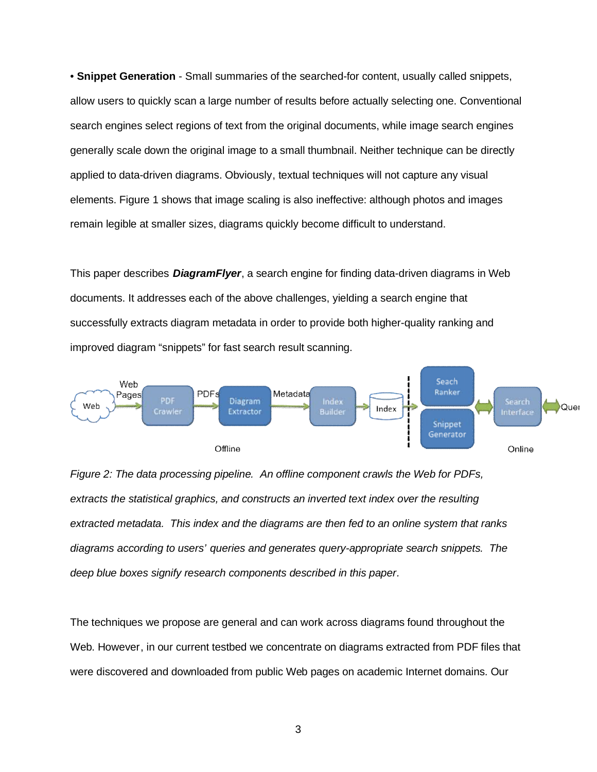• **Snippet Generation** - Small summaries of the searched-for content, usually called snippets, allow users to quickly scan a large number of results before actually selecting one. Conventional search engines select regions of text from the original documents, while image search engines generally scale down the original image to a small thumbnail. Neither technique can be directly applied to data-driven diagrams. Obviously, textual techniques will not capture any visual elements. Figure 1 shows that image scaling is also ineffective: although photos and images remain legible at smaller sizes, diagrams quickly become difficult to understand.

This paper describes *DiagramFlyer*, a search engine for finding data-driven diagrams in Web documents. It addresses each of the above challenges, yielding a search engine that successfully extracts diagram metadata in order to provide both higher-quality ranking and improved diagram "snippets" for fast search result scanning.





The techniques we propose are general and can work across diagrams found throughout the Web. However, in our current testbed we concentrate on diagrams extracted from PDF files that were discovered and downloaded from public Web pages on academic Internet domains. Our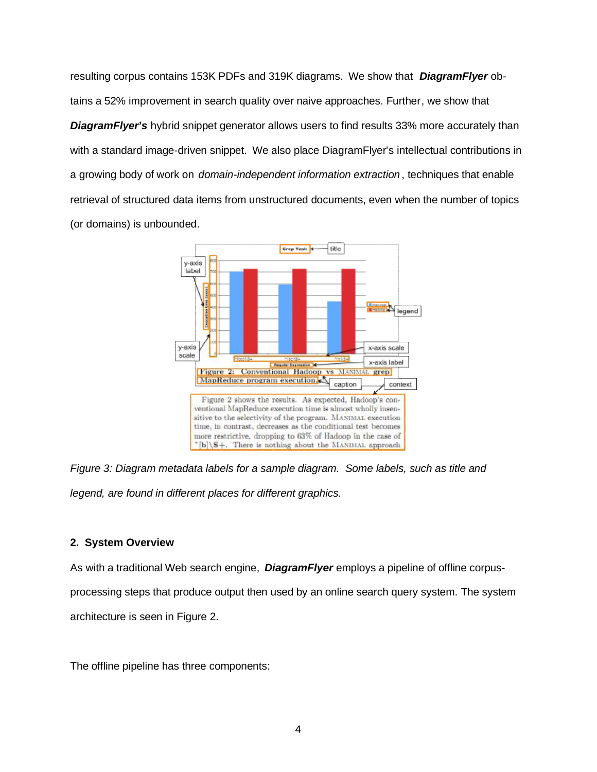resulting corpus contains 153K PDFs and 319K diagrams. We show that *DiagramFlyer* obtains a 52% improvement in search quality over naive approaches. Further, we show that **DiagramFlyer's** hybrid snippet generator allows users to find results 33% more accurately than with a standard image-driven snippet. We also place DiagramFlyer's intellectual contributions in a growing body of work on *domain-independent information extraction* , techniques that enable retrieval of structured data items from unstructured documents, even when the number of topics (or domains) is unbounded.



*Figure 3: Diagram metadata labels for a sample diagram. Some labels, such as title and legend, are found in different places for different graphics.* 

## **2. System Overview**

As with a traditional Web search engine, *DiagramFlyer* employs a pipeline of offline corpusprocessing steps that produce output then used by an online search query system. The system architecture is seen in Figure 2.

The offline pipeline has three components: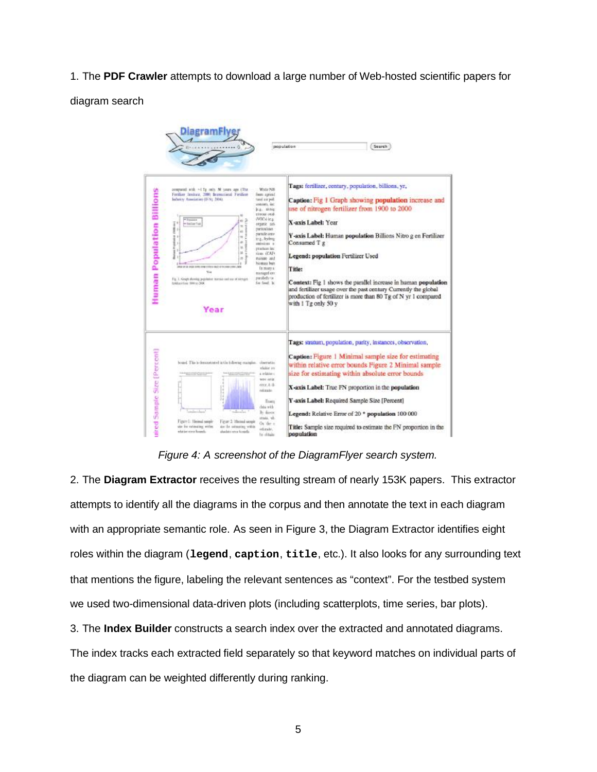# 1. The **PDF Crawler** attempts to download a large number of Web-hosted scientific papers for

### diagram search



*Figure 4: A screenshot of the DiagramFlyer search system.* 

2. The **Diagram Extractor** receives the resulting stream of nearly 153K papers. This extractor attempts to identify all the diagrams in the corpus and then annotate the text in each diagram with an appropriate semantic role. As seen in Figure 3, the Diagram Extractor identifies eight roles within the diagram (**legend**, **caption**, **title**, etc.). It also looks for any surrounding text that mentions the figure, labeling the relevant sentences as "context". For the testbed system we used two-dimensional data-driven plots (including scatterplots, time series, bar plots).

3. The **Index Builder** constructs a search index over the extracted and annotated diagrams.

The index tracks each extracted field separately so that keyword matches on individual parts of the diagram can be weighted differently during ranking.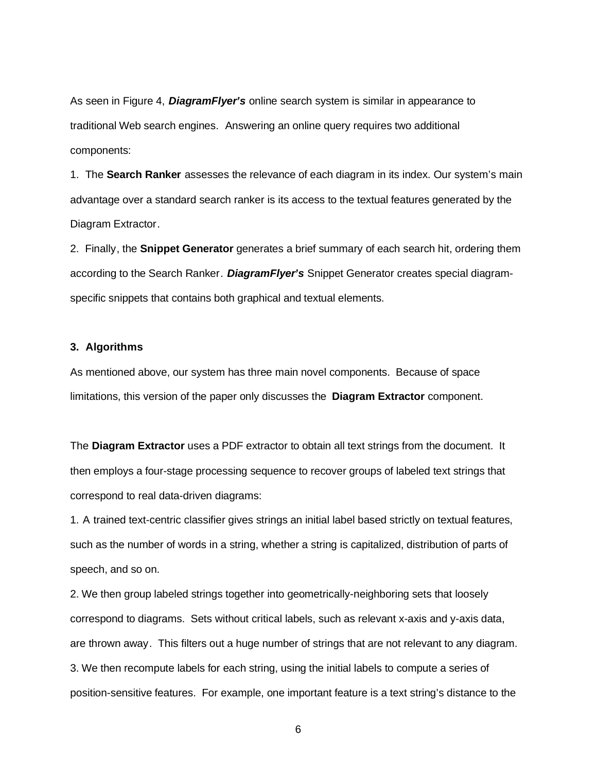As seen in Figure 4, *DiagramFlyer's* online search system is similar in appearance to traditional Web search engines. Answering an online query requires two additional components:

1. The **Search Ranker** assesses the relevance of each diagram in its index. Our system's main advantage over a standard search ranker is its access to the textual features generated by the Diagram Extractor.

2. Finally, the **Snippet Generator** generates a brief summary of each search hit, ordering them according to the Search Ranker. *DiagramFlyer's* Snippet Generator creates special diagramspecific snippets that contains both graphical and textual elements.

#### **3. Algorithms**

As mentioned above, our system has three main novel components. Because of space limitations, this version of the paper only discusses the **Diagram Extractor** component.

The **Diagram Extractor** uses a PDF extractor to obtain all text strings from the document. It then employs a four-stage processing sequence to recover groups of labeled text strings that correspond to real data-driven diagrams:

1. A trained text-centric classifier gives strings an initial label based strictly on textual features, such as the number of words in a string, whether a string is capitalized, distribution of parts of speech, and so on.

2. We then group labeled strings together into geometrically-neighboring sets that loosely correspond to diagrams. Sets without critical labels, such as relevant x-axis and y-axis data, are thrown away. This filters out a huge number of strings that are not relevant to any diagram. 3. We then recompute labels for each string, using the initial labels to compute a series of position-sensitive features. For example, one important feature is a text string's distance to the

6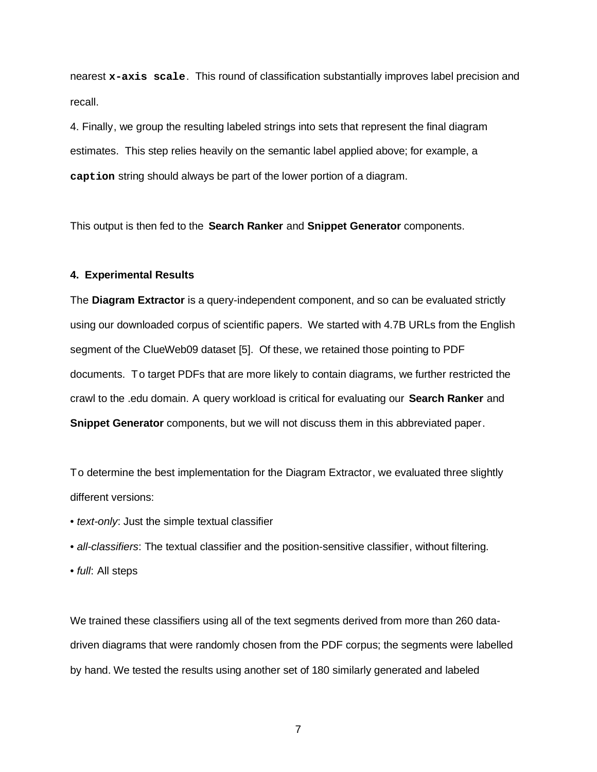nearest **x-axis scale**. This round of classification substantially improves label precision and recall.

4. Finally, we group the resulting labeled strings into sets that represent the final diagram estimates. This step relies heavily on the semantic label applied above; for example, a **caption** string should always be part of the lower portion of a diagram.

This output is then fed to the **Search Ranker** and **Snippet Generator** components.

### **4. Experimental Results**

The **Diagram Extractor** is a query-independent component, and so can be evaluated strictly using our downloaded corpus of scientific papers. We started with 4.7B URLs from the English segment of the ClueWeb09 dataset [5]. Of these, we retained those pointing to PDF documents. To target PDFs that are more likely to contain diagrams, we further restricted the crawl to the .edu domain. A query workload is critical for evaluating our **Search Ranker** and **Snippet Generator** components, but we will not discuss them in this abbreviated paper.

To determine the best implementation for the Diagram Extractor, we evaluated three slightly different versions:

- *text-only*: Just the simple textual classifier
- *all-classifiers*: The textual classifier and the position-sensitive classifier, without filtering.
- *full*: All steps

We trained these classifiers using all of the text segments derived from more than 260 datadriven diagrams that were randomly chosen from the PDF corpus; the segments were labelled by hand. We tested the results using another set of 180 similarly generated and labeled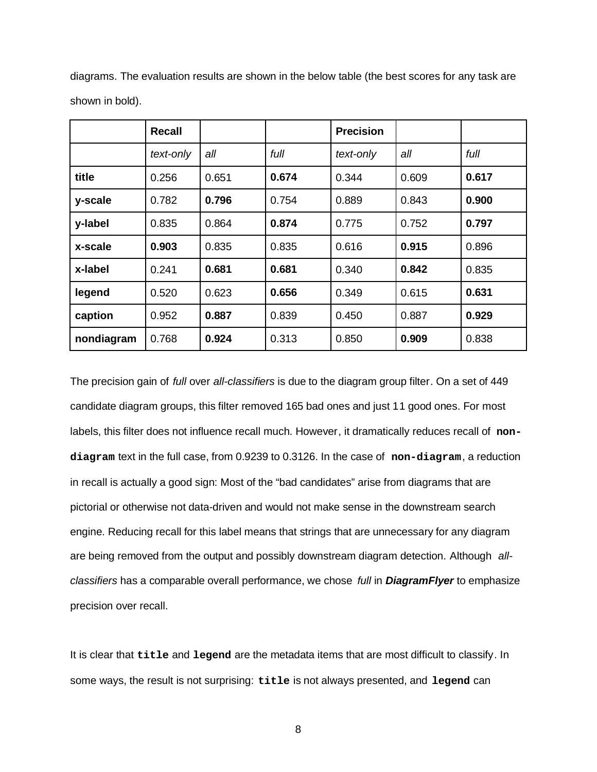|            | <b>Recall</b> |       |       | <b>Precision</b> |       |       |
|------------|---------------|-------|-------|------------------|-------|-------|
|            | text-only     | all   | full  | text-only        | all   | full  |
| title      | 0.256         | 0.651 | 0.674 | 0.344            | 0.609 | 0.617 |
| y-scale    | 0.782         | 0.796 | 0.754 | 0.889            | 0.843 | 0.900 |
| y-label    | 0.835         | 0.864 | 0.874 | 0.775            | 0.752 | 0.797 |
| x-scale    | 0.903         | 0.835 | 0.835 | 0.616            | 0.915 | 0.896 |
| x-label    | 0.241         | 0.681 | 0.681 | 0.340            | 0.842 | 0.835 |
| legend     | 0.520         | 0.623 | 0.656 | 0.349            | 0.615 | 0.631 |
| caption    | 0.952         | 0.887 | 0.839 | 0.450            | 0.887 | 0.929 |
| nondiagram | 0.768         | 0.924 | 0.313 | 0.850            | 0.909 | 0.838 |

diagrams. The evaluation results are shown in the below table (the best scores for any task are shown in bold).

The precision gain of *full* over *all-classifiers* is due to the diagram group filter. On a set of 449 candidate diagram groups, this filter removed 165 bad ones and just 11 good ones. For most labels, this filter does not influence recall much. However, it dramatically reduces recall of **nondiagram** text in the full case, from 0.9239 to 0.3126. In the case of **non-diagram**, a reduction in recall is actually a good sign: Most of the "bad candidates" arise from diagrams that are pictorial or otherwise not data-driven and would not make sense in the downstream search engine. Reducing recall for this label means that strings that are unnecessary for any diagram are being removed from the output and possibly downstream diagram detection. Although *allclassifiers* has a comparable overall performance, we chose *full* in *DiagramFlyer* to emphasize precision over recall.

It is clear that **title** and **legend** are the metadata items that are most difficult to classify. In some ways, the result is not surprising: **title** is not always presented, and **legend** can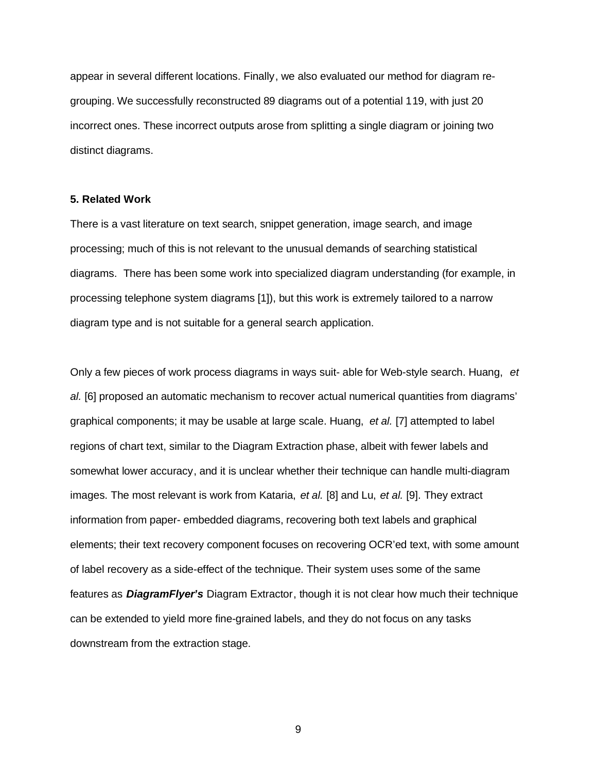appear in several different locations. Finally, we also evaluated our method for diagram regrouping. We successfully reconstructed 89 diagrams out of a potential 119, with just 20 incorrect ones. These incorrect outputs arose from splitting a single diagram or joining two distinct diagrams.

#### **5. Related Work**

There is a vast literature on text search, snippet generation, image search, and image processing; much of this is not relevant to the unusual demands of searching statistical diagrams. There has been some work into specialized diagram understanding (for example, in processing telephone system diagrams [1]), but this work is extremely tailored to a narrow diagram type and is not suitable for a general search application.

Only a few pieces of work process diagrams in ways suit- able for Web-style search. Huang, *et al.* [6] proposed an automatic mechanism to recover actual numerical quantities from diagrams' graphical components; it may be usable at large scale. Huang, *et al.* [7] attempted to label regions of chart text, similar to the Diagram Extraction phase, albeit with fewer labels and somewhat lower accuracy, and it is unclear whether their technique can handle multi-diagram images. The most relevant is work from Kataria, *et al.* [8] and Lu, *et al.* [9]. They extract information from paper- embedded diagrams, recovering both text labels and graphical elements; their text recovery component focuses on recovering OCR'ed text, with some amount of label recovery as a side-effect of the technique. Their system uses some of the same features as *DiagramFlyer's* Diagram Extractor, though it is not clear how much their technique can be extended to yield more fine-grained labels, and they do not focus on any tasks downstream from the extraction stage.

9